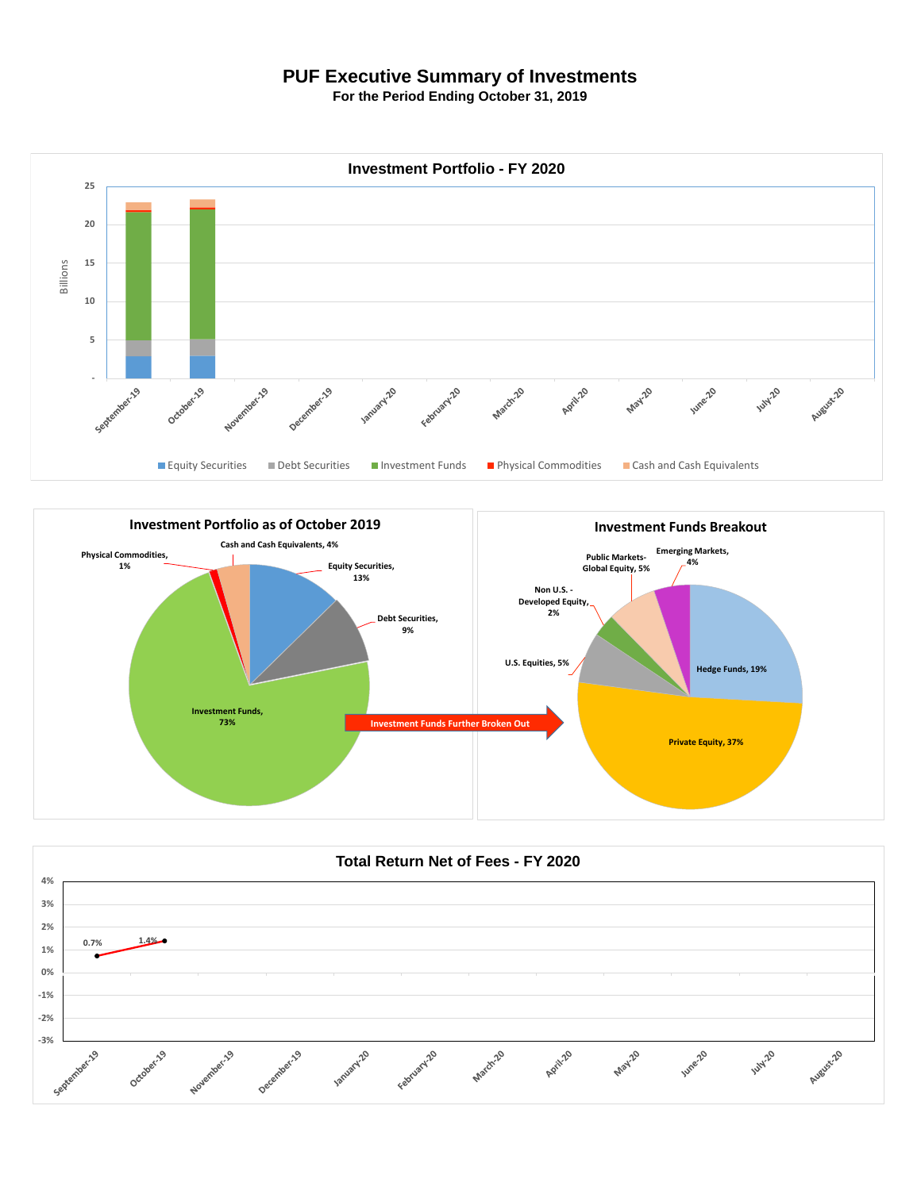## **PUF Executive Summary of Investments**

**For the Period Ending October 31, 2019**